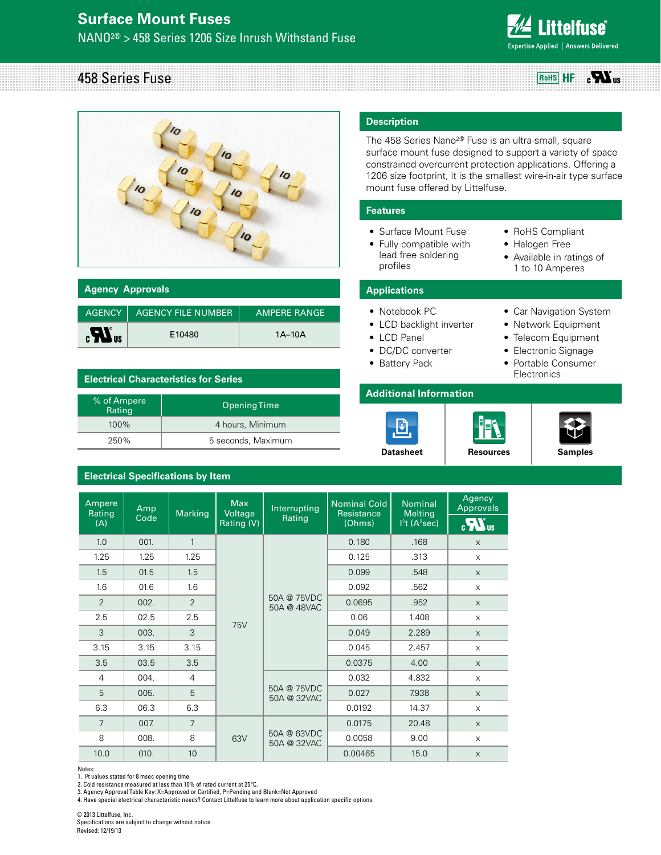

458 Series Fuse **RoHS HF**  $_{c}H_{\text{us}}$ 



| <b>Agency Approvals</b>     |                             |                     |
|-----------------------------|-----------------------------|---------------------|
|                             |                             |                     |
|                             | AGENCY   AGENCY FILE NUMBER | <b>AMPERE RANGE</b> |
| $\boldsymbol{H}_{\text{u}}$ | E10480                      | $1A-10A$            |

## **Electrical Characteristics for Series**

| % of Ampere<br>Rating | Opening Time       |
|-----------------------|--------------------|
| 100%                  | 4 hours, Minimum   |
| 250%                  | 5 seconds, Maximum |

# **Electrical Specifications by Item**

# **Description**

The 458 Series Nano2® Fuse is an ultra-small, square surface mount fuse designed to support a variety of space constrained overcurrent protection applications. Offering a 1206 size footprint, it is the smallest wire-in-air type surface mount fuse offered by Littelfuse.

## **Features**

- Surface Mount Fuse
- Fully compatible with lead free soldering profiles
- RoHS Compliant
- • Halogen Free
- • Available in ratings of 1 to 10 Amperes

## **Applications**

- Notebook PC
- LCD backlight inverter
- • LCD Panel
- DC/DC converter
- Battery Pack

### **Additional Information**





- Telecom Equipment
- Electronic Signage
- Portable Consumer Electronics



| Ampere<br>Rating | Amp  | Marking        | Max<br>Voltage | Interrupting               | Nominal Cold<br>Resistance | <b>Nominal</b><br><b>Melting</b> | Agency<br>Approvals |
|------------------|------|----------------|----------------|----------------------------|----------------------------|----------------------------------|---------------------|
| (A)              | Code |                | Rating (V)     | Rating                     | (Ohms)                     | $12t$ (A <sup>2</sup> sec)       | $\mathbf{a}$        |
| 1.0              | 001. | $\mathbf{1}$   |                |                            | 0.180                      | .168                             | $\times$            |
| 1.25             | 1.25 | 1.25           |                |                            | 0.125                      | .313                             | $\mathsf{X}$        |
| 1.5              | 01.5 | 1.5            |                |                            | 0.099                      | .548                             | $\mathsf{X}$        |
| 1.6              | 01.6 | 1.6            |                |                            | 0.092                      | .562                             | $\mathsf X$         |
| 2                | 002. | $\overline{2}$ |                | 50A @ 75VDC<br>50A @ 48VAC | 0.0695                     | .952                             | $\times$            |
| 2.5              | 02.5 | 2.5            | 75V            |                            | 0.06                       | 1.408                            | $\times$            |
| 3                | 003. | 3              |                |                            | 0.049                      | 2.289                            | $\times$            |
| 3.15             | 3.15 | 3.15           |                |                            | 0.045                      | 2.457                            | $\mathsf{X}$        |
| 3.5              | 03.5 | 3.5            |                |                            | 0.0375                     | 4.00                             | $\mathsf{X}$        |
| $\overline{4}$   | 004. | $\overline{4}$ |                |                            | 0.032                      | 4.832                            | $\mathsf{X}$        |
| 5                | 005. | 5              |                | 50A @ 75VDC<br>50A @ 32VAC | 0.027                      | 7.938                            | $\times$            |
| 6.3              | 06.3 | 6.3            |                |                            | 0.0192                     | 14.37                            | $\mathsf{X}$        |
| 7                | 007. | $\overline{7}$ |                |                            | 0.0175                     | 20.48                            | $\times$            |
| 8                | 008. | 8              | 63V            | 50A @ 63VDC<br>50A @ 32VAC | 0.0058                     | 9.00                             | $\times$            |
| 10.0             | 010. | 10             |                |                            | 0.00465                    | 15.0                             | $\mathsf{X}$        |

Notes:

1. l2 t values stated for 8 msec opening time

2. Cold resistance measured at less than 10% of rated current at 25°C.

3. Agency Approval Table Key: X=Approved or Certified, P=Pending and Blank=Not Approved

4. Have special electrical characteristic needs? Contact Littelfuse to learn more about application specific options.

© 2013 Littelfuse, Inc. Specifications are subject to change without notice. Revised: 12/19/13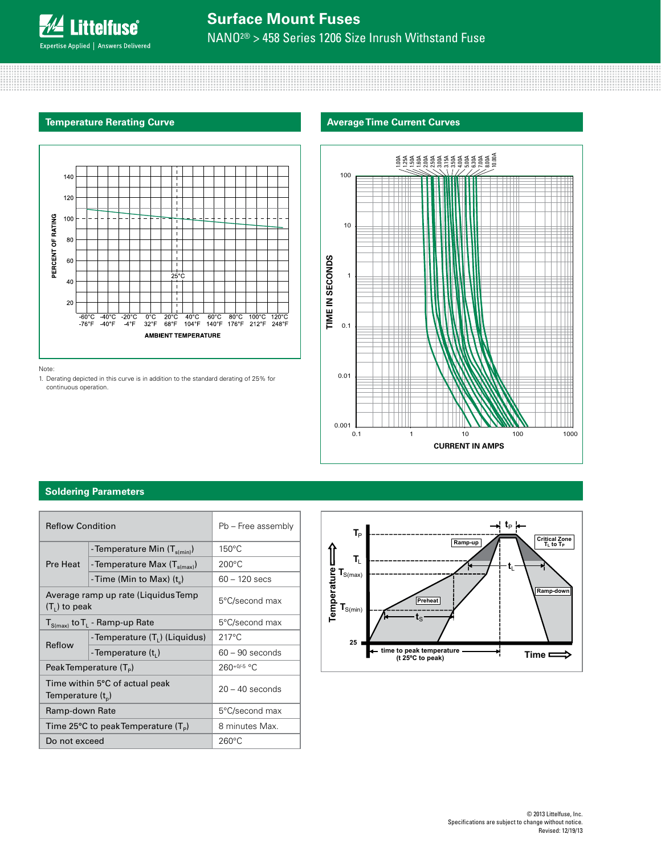

# **Surface Mount Fuses** NANO2® > 458 Series 1206 Size Inrush Withstand Fuse

## **Temperature Rerating Curve**





Note:

1. Derating depicted in this curve is in addition to the standard derating of 25% for continuous operation.



# **Soldering Parameters**

| <b>Reflow Condition</b>       |                                                           | Pb - Free assembly |
|-------------------------------|-----------------------------------------------------------|--------------------|
|                               | - Temperature Min $(T_{\text{s(min)}})$                   | 150°C              |
| Pre Heat                      | - Temperature Max (T <sub>s(max)</sub> )                  | $200^{\circ}$ C    |
|                               | - Time (Min to Max) $(t_s)$                               | $60 - 120$ secs    |
| $(T1)$ to peak                | Average ramp up rate (Liquidus Temp                       | 5°C/second max     |
|                               | $T_{S(max)}$ to $T_L$ - Ramp-up Rate                      | 5°C/second max     |
| Reflow                        | -Temperature (T <sub>i</sub> ) (Liquidus)                 | $217^{\circ}$ C    |
|                               | -Temperature $(t_i)$                                      | $60 - 90$ seconds  |
|                               | PeakTemperature (T <sub>p</sub> )                         | $260+0/5$ °C       |
| Temperature (t <sub>p</sub> ) | Time within 5°C of actual peak                            | $20 - 40$ seconds  |
| Ramp-down Rate                |                                                           | 5°C/second max     |
|                               | Time 25 $\degree$ C to peak Temperature (T <sub>p</sub> ) | 8 minutes Max.     |
| Do not exceed                 |                                                           | $260^{\circ}$ C    |